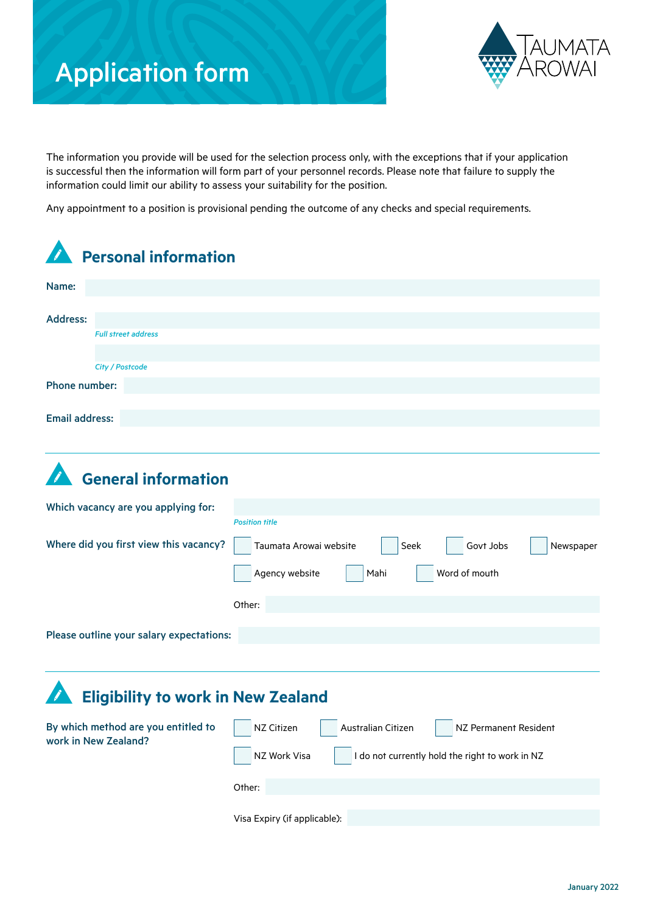# Application form



The information you provide will be used for the selection process only, with the exceptions that if your application is successful then the information will form part of your personnel records. Please note that failure to supply the information could limit our ability to assess your suitability for the position.

Any appointment to a position is provisional pending the outcome of any checks and special requirements.

| <b>Personal information</b>                                 |                                                                                                                              |
|-------------------------------------------------------------|------------------------------------------------------------------------------------------------------------------------------|
| Name:                                                       |                                                                                                                              |
| <b>Address:</b><br><b>Full street address</b>               |                                                                                                                              |
| City / Postcode                                             |                                                                                                                              |
| Phone number:                                               |                                                                                                                              |
| <b>Email address:</b>                                       |                                                                                                                              |
| <b>General information</b>                                  |                                                                                                                              |
| Which vacancy are you applying for:                         |                                                                                                                              |
| Where did you first view this vacancy?                      | <b>Position title</b><br>Seek<br>Govt Jobs<br>Taumata Arowai website<br>Newspaper<br>Word of mouth<br>Agency website<br>Mahi |
|                                                             | Other:                                                                                                                       |
| Please outline your salary expectations:                    |                                                                                                                              |
| <b>Eligibility to work in New Zealand</b>                   |                                                                                                                              |
| By which method are you entitled to<br>work in New Zealand? | Australian Citizen<br>NZ Citizen<br>NZ Permanent Resident                                                                    |
|                                                             | NZ Work Visa<br>I do not currently hold the right to work in NZ                                                              |

January 2022

Visa Expiry (if applicable):

Other: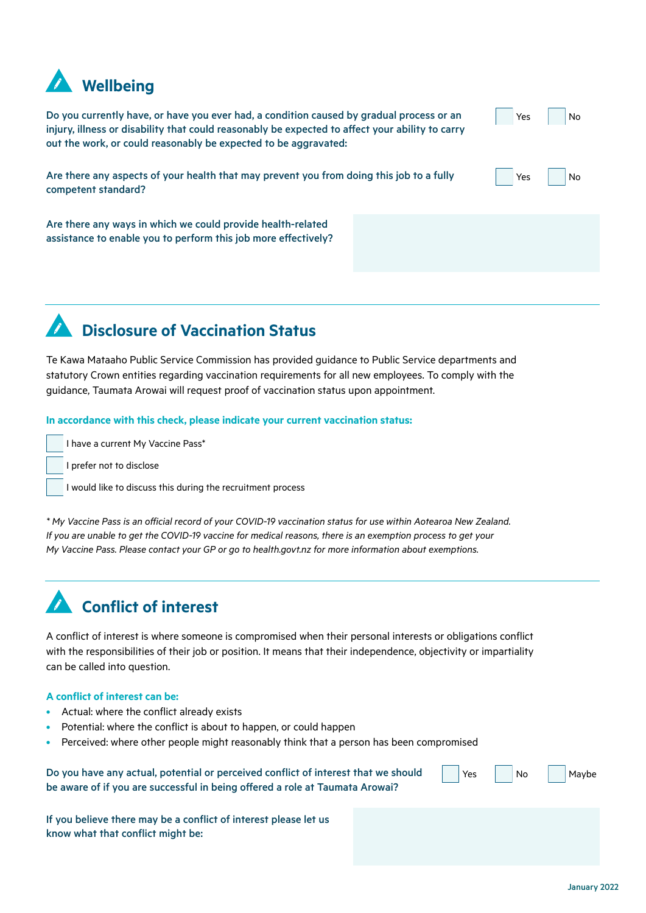

Do you currently have, or have you ever had, a condition caused by gradual process or an injury, illness or disability that could reasonably be expected to affect your ability to carry out the work, or could reasonably be expected to be aggravated:

Yes Yes No No

Are there any aspects of your health that may prevent you from doing this job to a fully competent standard?

Are there any ways in which we could provide health-related assistance to enable you to perform this job more effectively?

### **Disclosure of Vaccination Status**

Te Kawa Mataaho Public Service Commission has provided guidance to Public Service departments and statutory Crown entities regarding vaccination requirements for all new employees. To comply with the guidance, Taumata Arowai will request proof of vaccination status upon appointment.

#### **In accordance with this check, please indicate your current vaccination status:**

I have a current My Vaccine Pass\*

I prefer not to disclose

I would like to discuss this during the recruitment process

*\* My Vaccine Pass is an official record of your COVID-19 vaccination status for use within Aotearoa New Zealand. If you are unable to get the COVID-19 vaccine for medical reasons, there is an exemption process to get your My Vaccine Pass. Please contact your GP or go to health.govt.nz for more information about exemptions.* 

## **Conflict of interest**

A conflict of interest is where someone is compromised when their personal interests or obligations conflict with the responsibilities of their job or position. It means that their independence, objectivity or impartiality can be called into question.

#### **A conflict of interest can be:**

- Actual: where the conflict already exists
- Potential: where the conflict is about to happen, or could happen
- Perceived: where other people might reasonably think that a person has been compromised

| Do you have any actual, potential or perceived conflict of interest that we should | Yes |
|------------------------------------------------------------------------------------|-----|
| be aware of if you are successful in being offered a role at Taumata Arowai?       |     |

If you believe there may be a conflict of interest please let us know what that conflict might be:

Maybe

No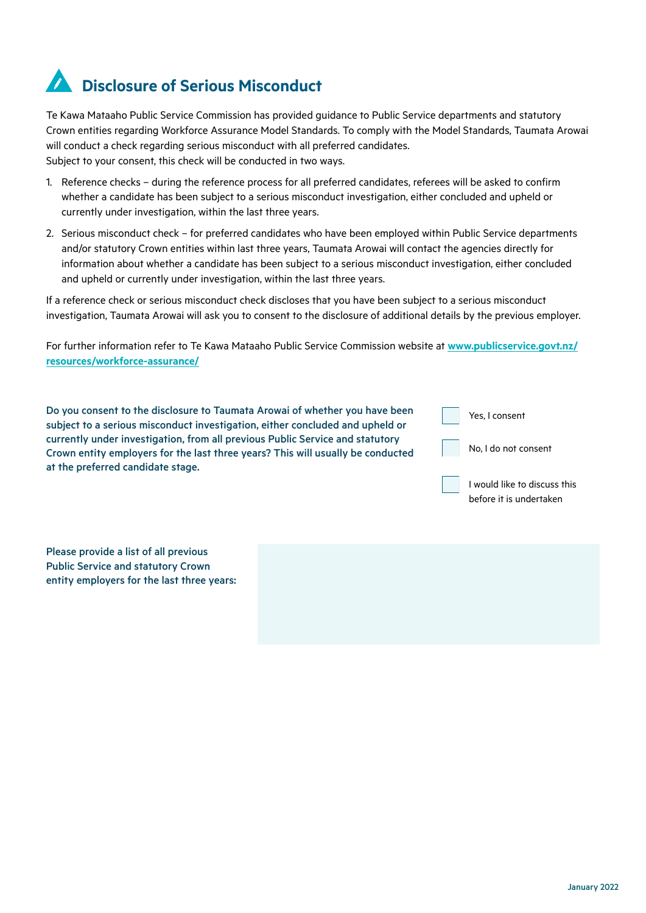## **Disclosure of Serious Misconduct**

Te Kawa Mataaho Public Service Commission has provided guidance to Public Service departments and statutory Crown entities regarding Workforce Assurance Model Standards. To comply with the Model Standards, Taumata Arowai will conduct a check regarding serious misconduct with all preferred candidates. Subject to your consent, this check will be conducted in two ways.

- 1. Reference checks during the reference process for all preferred candidates, referees will be asked to confirm whether a candidate has been subject to a serious misconduct investigation, either concluded and upheld or currently under investigation, within the last three years.
- 2. Serious misconduct check for preferred candidates who have been employed within Public Service departments and/or statutory Crown entities within last three years, Taumata Arowai will contact the agencies directly for information about whether a candidate has been subject to a serious misconduct investigation, either concluded and upheld or currently under investigation, within the last three years.

If a reference check or serious misconduct check discloses that you have been subject to a serious misconduct investigation, Taumata Arowai will ask you to consent to the disclosure of additional details by the previous employer.

For further information refer to Te Kawa Mataaho Public Service Commission website at **[www.publicservice.govt.nz/](https://www.publicservice.govt.nz/resources/workforce-assurance/) [resources/workforce-assurance/](https://www.publicservice.govt.nz/resources/workforce-assurance/)**

| Do you consent to the disclosure to Taumata Arowai of whether you have been<br>subject to a serious misconduct investigation, either concluded and upheld or     | Yes, I consent               |
|------------------------------------------------------------------------------------------------------------------------------------------------------------------|------------------------------|
| currently under investigation, from all previous Public Service and statutory<br>Crown entity employers for the last three years? This will usually be conducted | No, I do not consent         |
| at the preferred candidate stage.                                                                                                                                |                              |
|                                                                                                                                                                  | I would like to discuss this |

Please provide a list of all previous Public Service and statutory Crown entity employers for the last three years: before it is undertaken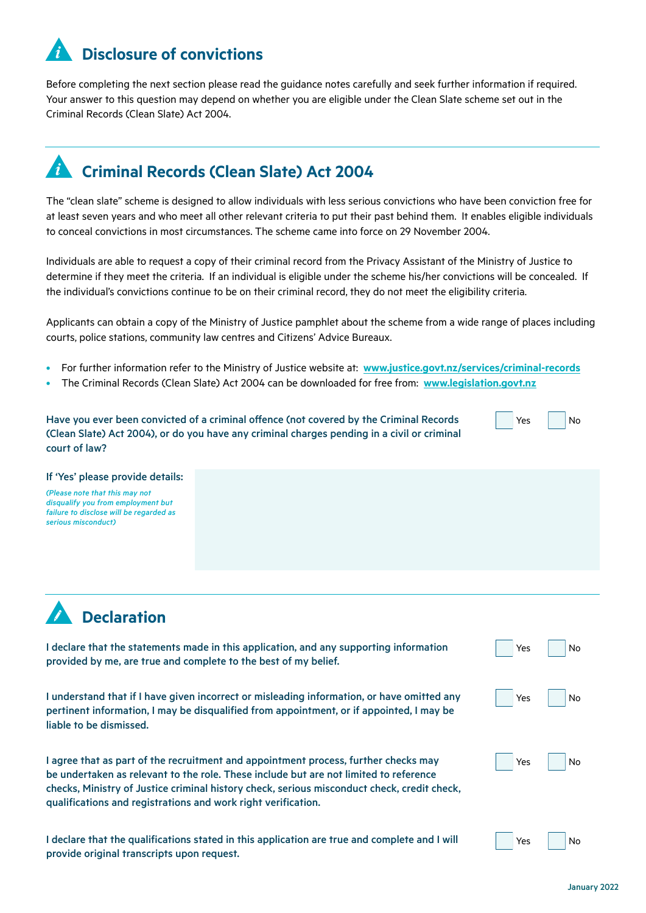### **Disclosure of convictions**

Before completing the next section please read the guidance notes carefully and seek further information if required. Your answer to this question may depend on whether you are eligible under the Clean Slate scheme set out in the Criminal Records (Clean Slate) Act 2004.

### **Criminal Records (Clean Slate) Act 2004**

The "clean slate" scheme is designed to allow individuals with less serious convictions who have been conviction free for at least seven years and who meet all other relevant criteria to put their past behind them. It enables eligible individuals to conceal convictions in most circumstances. The scheme came into force on 29 November 2004.

Individuals are able to request a copy of their criminal record from the Privacy Assistant of the Ministry of Justice to determine if they meet the criteria. If an individual is eligible under the scheme his/her convictions will be concealed. If the individual's convictions continue to be on their criminal record, they do not meet the eligibility criteria.

Applicants can obtain a copy of the Ministry of Justice pamphlet about the scheme from a wide range of places including courts, police stations, community law centres and Citizens' Advice Bureaux.

- For further information refer to the Ministry of Justice website at: **[www.justice.govt.nz/services/criminal-records](http://www.justice.govt.nz/services/criminal-records )**
- The Criminal Records (Clean Slate) Act 2004 can be downloaded for free from: **[www.legislation.govt.nz](http://www.legislation.govt.nz)**

Have you ever been convicted of a criminal offence (not covered by the Criminal Records (Clean Slate) Act 2004), or do you have any criminal charges pending in a civil or criminal court of law?

#### If 'Yes' please provide details:

*(Please note that this may not disqualify you from employment but failure to disclose will be regarded as serious misconduct)*



I declare that the statements made in this application, and any supporting information provided by me, are true and complete to the best of my belief.

I understand that if I have given incorrect or misleading information, or have omitted any pertinent information, I may be disqualified from appointment, or if appointed, I may be liable to be dismissed.

I agree that as part of the recruitment and appointment process, further checks may be undertaken as relevant to the role. These include but are not limited to reference checks, Ministry of Justice criminal history check, serious misconduct check, credit check, qualifications and registrations and work right verification.

I declare that the qualifications stated in this application are true and complete and I will provide original transcripts upon request.

| Yes |  | No |
|-----|--|----|
|     |  |    |

No

Yes

|  | Yes |  | N٥ |
|--|-----|--|----|
|--|-----|--|----|